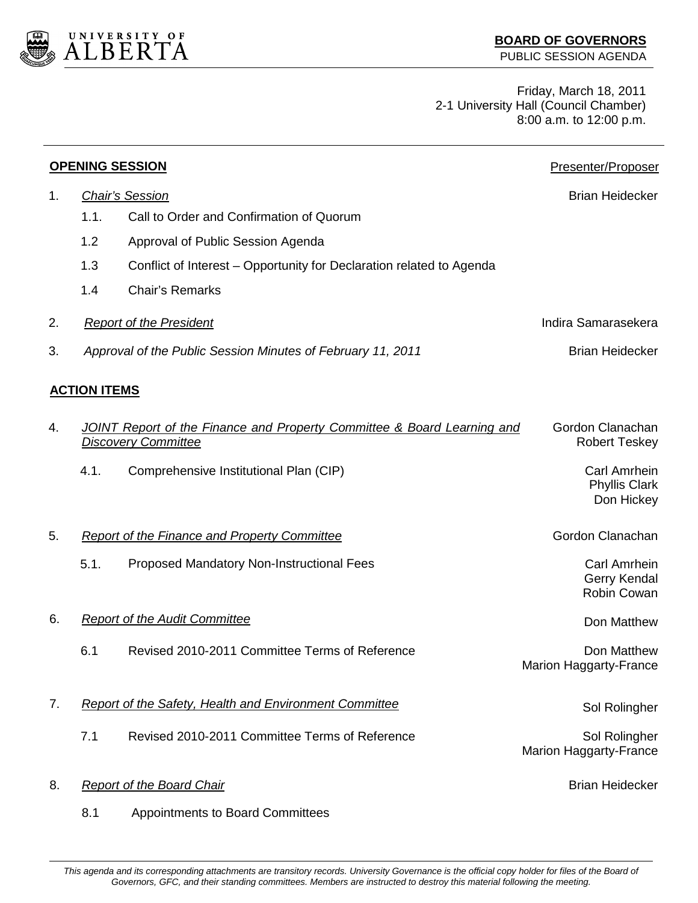

Friday, March 18, 2011 2-1 University Hall (Council Chamber) 8:00 a.m. to 12:00 p.m.

| <b>OPENING SESSION</b> |                     |                                                                                                       | Presenter/Proposer                                        |
|------------------------|---------------------|-------------------------------------------------------------------------------------------------------|-----------------------------------------------------------|
| 1.                     |                     | <b>Chair's Session</b>                                                                                | <b>Brian Heidecker</b>                                    |
|                        | 1.1.                | Call to Order and Confirmation of Quorum                                                              |                                                           |
|                        | 1.2                 | Approval of Public Session Agenda                                                                     |                                                           |
|                        | 1.3                 | Conflict of Interest – Opportunity for Declaration related to Agenda                                  |                                                           |
|                        | 1.4                 | <b>Chair's Remarks</b>                                                                                |                                                           |
| 2.                     |                     | <b>Report of the President</b>                                                                        | Indira Samarasekera                                       |
| 3.                     |                     | Approval of the Public Session Minutes of February 11, 2011                                           | <b>Brian Heidecker</b>                                    |
|                        | <b>ACTION ITEMS</b> |                                                                                                       |                                                           |
| 4.                     |                     | JOINT Report of the Finance and Property Committee & Board Learning and<br><b>Discovery Committee</b> | Gordon Clanachan<br><b>Robert Teskey</b>                  |
|                        | 4.1.                | Comprehensive Institutional Plan (CIP)                                                                | <b>Carl Amrhein</b><br><b>Phyllis Clark</b><br>Don Hickey |
| 5.                     |                     | <b>Report of the Finance and Property Committee</b>                                                   | Gordon Clanachan                                          |
|                        | 5.1.                | <b>Proposed Mandatory Non-Instructional Fees</b>                                                      | Carl Amrhein<br>Gerry Kendal<br><b>Robin Cowan</b>        |
| 6.                     |                     | <b>Report of the Audit Committee</b>                                                                  | Don Matthew                                               |
|                        | 6.1                 | Revised 2010-2011 Committee Terms of Reference                                                        | Don Matthew<br>Marion Haggarty-France                     |
| 7.                     |                     | <b>Report of the Safety, Health and Environment Committee</b>                                         | Sol Rolingher                                             |
|                        | 7.1                 | Revised 2010-2011 Committee Terms of Reference                                                        | Sol Rolingher<br><b>Marion Haggarty-France</b>            |
| 8.                     |                     | <b>Report of the Board Chair</b>                                                                      | <b>Brian Heidecker</b>                                    |
|                        | 8.1                 | Appointments to Board Committees                                                                      |                                                           |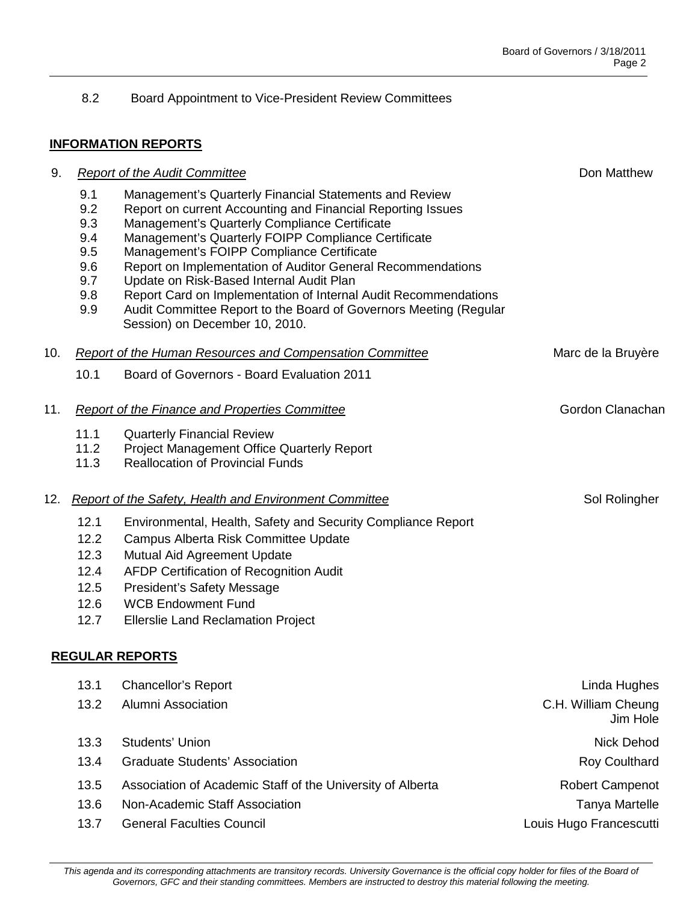## 8.2 Board Appointment to Vice-President Review Committees

## **INFORMATION REPORTS**

| 9.  |                                                             | <b>Report of the Audit Committee</b>                                                                                                                                                                                                                                                                                                                                                                                                                                                                                                                            | Don Matthew                                     |
|-----|-------------------------------------------------------------|-----------------------------------------------------------------------------------------------------------------------------------------------------------------------------------------------------------------------------------------------------------------------------------------------------------------------------------------------------------------------------------------------------------------------------------------------------------------------------------------------------------------------------------------------------------------|-------------------------------------------------|
|     | 9.1<br>9.2<br>9.3<br>9.4<br>9.5<br>9.6<br>9.7<br>9.8<br>9.9 | Management's Quarterly Financial Statements and Review<br>Report on current Accounting and Financial Reporting Issues<br>Management's Quarterly Compliance Certificate<br>Management's Quarterly FOIPP Compliance Certificate<br>Management's FOIPP Compliance Certificate<br>Report on Implementation of Auditor General Recommendations<br>Update on Risk-Based Internal Audit Plan<br>Report Card on Implementation of Internal Audit Recommendations<br>Audit Committee Report to the Board of Governors Meeting (Regular<br>Session) on December 10, 2010. |                                                 |
| 10. |                                                             | <b>Report of the Human Resources and Compensation Committee</b>                                                                                                                                                                                                                                                                                                                                                                                                                                                                                                 | Marc de la Bruyère                              |
|     | 10.1                                                        | Board of Governors - Board Evaluation 2011                                                                                                                                                                                                                                                                                                                                                                                                                                                                                                                      |                                                 |
| 11. |                                                             | <b>Report of the Finance and Properties Committee</b>                                                                                                                                                                                                                                                                                                                                                                                                                                                                                                           | Gordon Clanachan                                |
|     | 11.1<br>11.2<br>11.3                                        | <b>Quarterly Financial Review</b><br>Project Management Office Quarterly Report<br><b>Reallocation of Provincial Funds</b>                                                                                                                                                                                                                                                                                                                                                                                                                                      |                                                 |
| 12. |                                                             | <b>Report of the Safety, Health and Environment Committee</b>                                                                                                                                                                                                                                                                                                                                                                                                                                                                                                   | Sol Rolingher                                   |
|     | 12.1<br>12.2<br>12.3<br>12.4<br>12.5<br>12.6<br>12.7        | Environmental, Health, Safety and Security Compliance Report<br>Campus Alberta Risk Committee Update<br>Mutual Aid Agreement Update<br><b>AFDP Certification of Recognition Audit</b><br>President's Safety Message<br><b>WCB Endowment Fund</b><br><b>Ellerslie Land Reclamation Project</b>                                                                                                                                                                                                                                                                   |                                                 |
|     |                                                             | <b>REGULAR REPORTS</b>                                                                                                                                                                                                                                                                                                                                                                                                                                                                                                                                          |                                                 |
|     | 13.1<br>13.2                                                | <b>Chancellor's Report</b><br><b>Alumni Association</b>                                                                                                                                                                                                                                                                                                                                                                                                                                                                                                         | Linda Hughes<br>C.H. William Cheung<br>Jim Hole |
|     | 13.3                                                        | Students' Union                                                                                                                                                                                                                                                                                                                                                                                                                                                                                                                                                 | <b>Nick Dehod</b>                               |
|     | 13.4                                                        | <b>Graduate Students' Association</b>                                                                                                                                                                                                                                                                                                                                                                                                                                                                                                                           | <b>Roy Coulthard</b>                            |
|     | 13.5                                                        | Association of Academic Staff of the University of Alberta                                                                                                                                                                                                                                                                                                                                                                                                                                                                                                      | Robert Campenot                                 |
|     | 13.6                                                        | Non-Academic Staff Association                                                                                                                                                                                                                                                                                                                                                                                                                                                                                                                                  | <b>Tanya Martelle</b>                           |
|     | 13.7                                                        | <b>General Faculties Council</b>                                                                                                                                                                                                                                                                                                                                                                                                                                                                                                                                | Louis Hugo Francescutti                         |